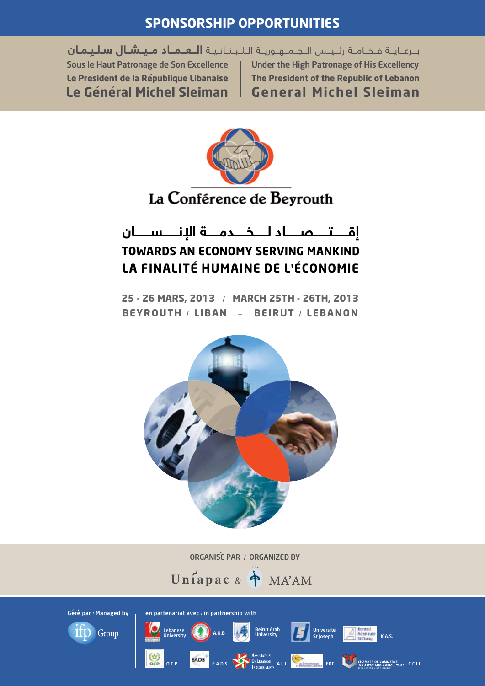#### **SPONSORSHIP OPPORTUNITIES**

برعايـة فـخـامـة رئـيـس الـجـمـهـوريـة الـلـبـنـانـيـة الـعـمـاد مـيـشـال سلـيـمـان Sous le Haut Patronage de Son Excellence Le President de la République Libanaise Le Général Michel Sleiman

Under the High Patronage of His Excellency The President of the Republic of Lebanon **General Michel Sleiman** 



#### إقتصاد لــخـــدمـــة الإنــــســــان **TOWARDS AN ECONOMY SERVING MANKIND** LA FINALITÉ HUMAINE DE L'ÉCONOMIE

25 - 26 MARS, 2013 / MARCH 25TH - 26TH, 2013 BEYROUTH / LIBAN - BEIRUT / LEBANON



ORGANISÉ PAR / ORGANIZED BY





en partenariat avec / in partnership with

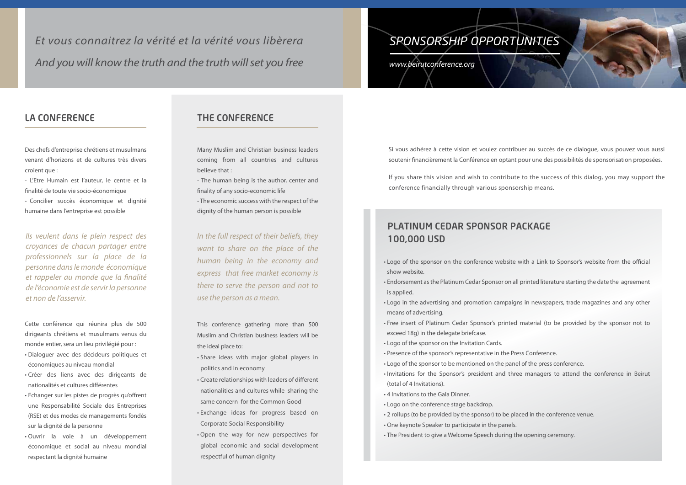# *SPONSORSHIP Opportunities*

*www.beirutconference.org*

#### The Conference

Many Muslim and Christian business leaders coming from all countries and cultures believe that :

- The human being is the author, center and finality of any socio-economic life

- The economic success with the respect of the dignity of the human person is possible

This conference gathering more than 500 Muslim and Christian business leaders will be the ideal place to:

- • Share ideas with major global players in politics and in economy
- • Create relationships with leaders of different nationalities and cultures while sharing the same concern for the Common Good
- • Exchange ideas for progress based on Corporate Social Responsibility
- • Open the way for new perspectives for global economic and social development respectful of human dignity

#### La Conference

Des chefs d'entreprise chrétiens et musulmans venant d'horizons et de cultures très divers croient que :

- L'Etre Humain est l'auteur, le centre et la finalité de toute vie socio-économique

- Concilier succès économique et dignité humaine dans l'entreprise est possible

- show website.
- is applied.
- means of advertising.
- Free insert of Platinum Cedar Sponsor's printed material (to be provided by the sponsor not to exceed 18g) in the delegate briefcase.
- • Logo of the sponsor on the Invitation Cards.
- Presence of the sponsor's representative in the Press Conference.
- Logo of the sponsor to be mentioned on the panel of the press conference.
- (total of 4 Invitations).
- 4 Invitations to the Gala Dinner.
- • Logo on the conference stage backdrop.
- 2 rollups (to be provided by the sponsor) to be placed in the conference venue.
- One keynote Speaker to participate in the panels.
- The President to give a Welcome Speech during the opening ceremony.



• Logo of the sponsor on the conference website with a Link to Sponsor's website from the official • Endorsement as the Platinum Cedar Sponsor on all printed literature starting the date the agreement • Logo in the advertising and promotion campaigns in newspapers, trade magazines and any other

• Invitations for the Sponsor's president and three managers to attend the conference in Beirut

Cette conférence qui réunira plus de 500 dirigeants chrétiens et musulmans venus du monde entier, sera un lieu privilégié pour :

- • Dialoguer avec des décideurs politiques et économiques au niveau mondial
- • Créer des liens avec des dirigeants de nationalités et cultures différentes
- • Echanger sur les pistes de progrès qu'offrent une Responsabilité Sociale des Entreprises (RSE) et des modes de managements fondés sur la dignité de la personne
- • Ouvrir la voie à un développement économique et social au niveau mondial respectant la dignité humaine

*Ils veulent dans le plein respect des croyances de chacun partager entre professionnels sur la place de la personne dans le monde économique et rappeler au monde que la finalité de l'économie est de servir la personne et non de l'asservir.*

*In the full respect of their beliefs, they want to share on the place of the human being in the economy and express that free market economy is there to serve the person and not to use the person as a mean.*

*And you will know the truth and the truth will set you free Et vous connaitrez la vérité et la vérité vous libèrera*

> Si vous adhérez à cette vision et voulez contribuer au succès de ce dialogue, vous pouvez vous aussi soutenir financièrement la Conférence en optant pour une des possibilités de sponsorisation proposées.

> If you share this vision and wish to contribute to the success of this dialog, you may support the conference financially through various sponsorship means.

#### Platinum Cedar Sponsor Package 100,000 USD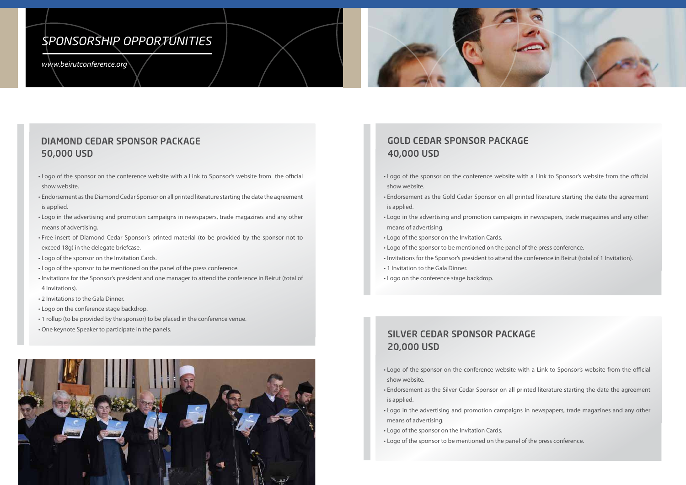- Logo of the sponsor on the conference website with a Link to Sponsor's website from the official show website.
- Endorsement as the Gold Cedar Sponsor on all printed literature starting the date the agreement is applied.
- Logo in the advertising and promotion campaigns in newspapers, trade magazines and any other means of advertising.
- • Logo of the sponsor on the Invitation Cards.
- • Logo of the sponsor to be mentioned on the panel of the press conference.
- Invitations for the Sponsor's president to attend the conference in Beirut (total of 1 Invitation).
- 1 Invitation to the Gala Dinner.
- • Logo on the conference stage backdrop.

- Logo of the sponsor on the conference website with a Link to Sponsor's website from the official show website.
- Endorsement as the Silver Cedar Sponsor on all printed literature starting the date the agreement is applied.
- Logo in the advertising and promotion campaigns in newspapers, trade magazines and any other means of advertising.
- • Logo of the sponsor on the Invitation Cards.
- • Logo of the sponsor to be mentioned on the panel of the press conference.

## Gold Cedar Sponsor Package 40,000 USD

#### Silver Cedar Sponsor Package 20,000 USD

#### Diamond Cedar Sponsor Package 50,000 USD

- Logo of the sponsor on the conference website with a Link to Sponsor's website from the official show website.
- Endorsement as the Diamond Cedar Sponsor on all printed literature starting the date the agreement is applied.
- Logo in the advertising and promotion campaigns in newspapers, trade magazines and any other means of advertising.
- Free insert of Diamond Cedar Sponsor's printed material (to be provided by the sponsor not to exceed 18g) in the delegate briefcase.
- • Logo of the sponsor on the Invitation Cards.
- • Logo of the sponsor to be mentioned on the panel of the press conference.
- • Invitations for the Sponsor's president and one manager to attend the conference in Beirut (total of 4 Invitations).
- 2 Invitations to the Gala Dinner.
- • Logo on the conference stage backdrop.
- 1 rollup (to be provided by the sponsor) to be placed in the conference venue.
- One keynote Speaker to participate in the panels.



# *SPONSORSHIP Opportunities*

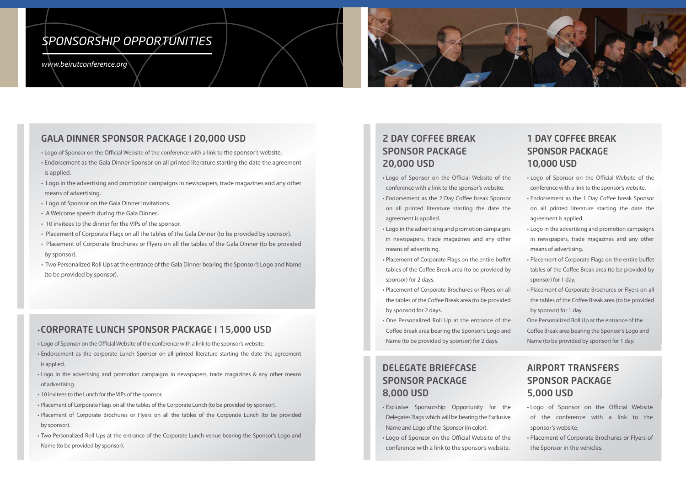## 2 Day Coffee break Sponsor Package Package 20,000 USD

- • Logo of Sponsor on the Official Website of the of Sponsor on the Official Website of the conference with a link to the sponsor's website.
- Endorsement as the 2 Day Coffee break Sponsor on all printed literature starting the date the agreement is applied.
- Logo in the advertising and promotion campaigns in newspapers, trade magazines and any other means of advertising.
- Placement of Corporate Flags on the entire buffet tables of the Coffee Break area (to be provided by sponsor) for 2 days.
- Placement of Corporate Brochures or Flyers on all the tables of the Coffee Break area (to be provided the Coffee Break area (to be provided by sponsor) for 2 days.
- • One Personalized Roll Up at the entrance of the Personalized Roll Up at the entrance of the Coffee Break area bearing the Sponsor's Logo and Logo and Name (to be provided by sponsor) for 2 days.
- Logo of Sponsor on the Official Website of the conference with a link to the sponsor's website.
- • Endorsement as the Gala Dinner Sponsor on all printed literature starting the date the agreement is applied.
- Logo in the advertising and promotion campaigns in newspapers, trade magazines and any other means of advertising.
- Logo of Sponsor on the Gala Dinner Invitations.
- A Welcome speech during the Gala Dinner.
- 10 invitees to the dinner for the VIPs of the sponsor.
- Placement of Corporate Flags on all the tables of the Gala Dinner (to be provided by sponsor).
- Placement of Corporate Brochures or Flyers on all the tables of the Gala Dinner (to be provided by sponsor).
- Two Personalized Roll Ups at the entrance of the Gala Dinner bearing the Sponsor's Logo and Name (to be provided by sponsor).

# *SPONSORSHIP Opportunities*



#### Gala Dinner Sponsor Package i 20,000 USd

#### 1 DAY COFFEE BRE SPONSOR PAC 10,000 USD 10,000 USD

One Personalized Roll Up at the entrance of the Coffee Break area bearing the Sponsor's Logo and Coffee Break area bearing the Sponsor's Logo and Name (to be provided by sponsor) for 1 day. Name (to be provided by sponsor) for 1 day.

## DELEGATE BRIEFC SPONSOR PACKAGE USD 8,000 USD

- Exclusive Sponsorship Opportunity for the Delegates' Bags which will be bearing the Exclusive Name and Logo of the Sponsor (in color).
- Logo of Sponsor on the Official Website of the conference with a link to the sponsor's website.

#### **AIRPORT TRANSFE SPONSOR PACKAGE** in newspapers, trade magazines & any other means of advertising. 5,000 USD

- Logo of Sponsor on the Official Website of the conference with a link to the the Corporate Lunch (to be provided by sponsor's website.
- Placement of Corporate Brochures or Flyers of the Sponsor in the vehicles.
- • Logo of Sponsor on the Official Website of the • Logo of Sponsor on the Official Website of the conference with a link to the sponsor's website. conference with a link to the sponsor's website.
- Endorsement as the 1 Day Coffee break Sponsor all printed literature starting the date the on all printed literature starting the date the agreement is applied. agreement is applied.
- • Logo in the advertising and promotion campaigns • Logo in the advertising and promotion campaigns in newspapers, trade magazines and any other in newspapers, trade magazines and any other means of advertising. means of advertising.
- Placement of Corporate Flags on the entire buffet tables of the Coffee Break area (to be provided by sponsor) for 1 day. sponsor) for 1 day.
- Placement of Corporate Brochures or Flyers on all the tables of the Coffee Break area (to be provided the tables of the Coffee Break area (to be provided by sponsor) for 1 day. by sponsor) for 1 day.

#### • Corporate Lunch Sponsor Package i 15,000 USD

- • Logo of Sponsor on the Official Website of the conference with a link to the sponsor's website.
- Endorsement as the corporate Lunch Sponsor on all printed literature starting the date the agreement is applied.
- Logo in the advertising and promotion campaigns in newspapers, trade magazines & any other means of advertising.
- 10 invitees to the Lunch for the VIPs of the sponsor.
- • Placement of Corporate Flags on all the tables of the Corporate Lunch (to be provided by sponsor).
- • Placement of Corporate Brochures or Flyers on all the tables of the Corporate Lunch (to be provided by sponsor).
- Two Personalized Roll Ups at the entrance of the Corporate Lunch venue bearing the Sponsor's Logo and Name (to be provided by sponsor).